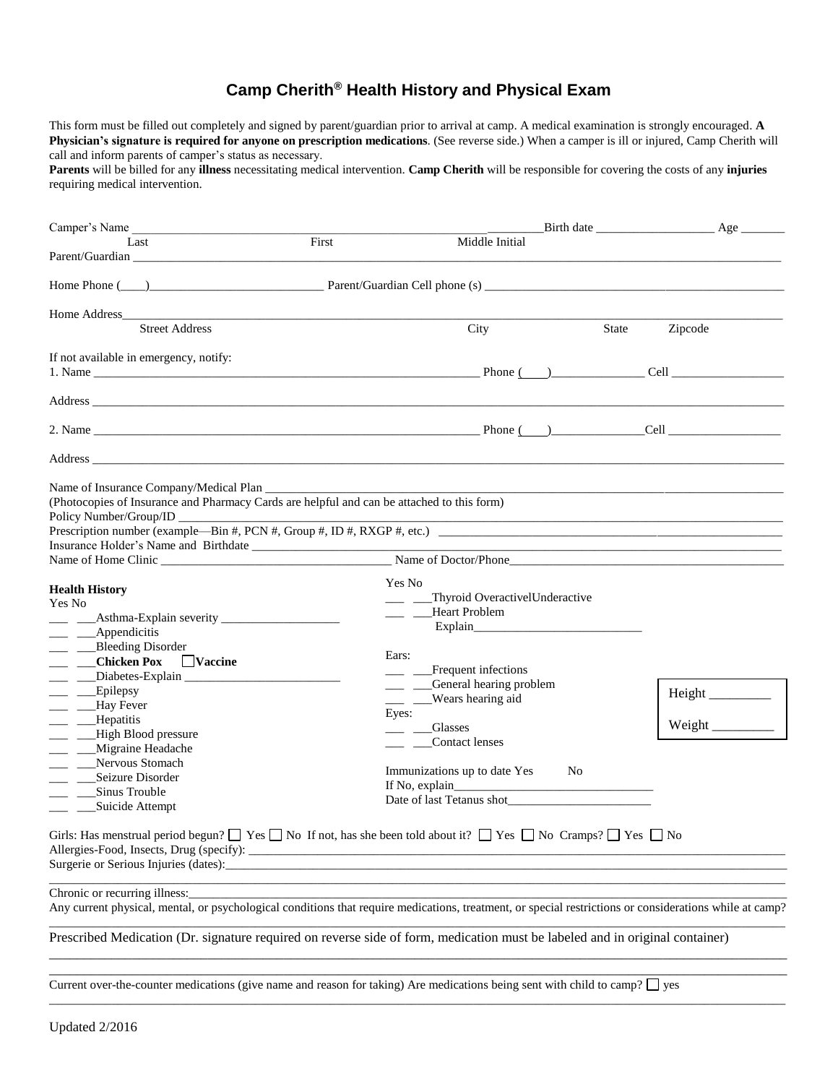## **Camp Cherith® Health History and Physical Exam**

This form must be filled out completely and signed by parent/guardian prior to arrival at camp. A medical examination is strongly encouraged. **A Physician's signature is required for anyone on prescription medications**. (See reverse side.) When a camper is ill or injured, Camp Cherith will call and inform parents of camper's status as necessary.

**Parents** will be billed for any **illness** necessitating medical intervention. **Camp Cherith** will be responsible for covering the costs of any **injuries** requiring medical intervention.

| Camper's Name                                                                                                                                                                                                                                                                                                                                                                                                                                                                                                      |       |                                                                                                                                                                                                                                                                                                                                                              |                |                                                                                                                      |
|--------------------------------------------------------------------------------------------------------------------------------------------------------------------------------------------------------------------------------------------------------------------------------------------------------------------------------------------------------------------------------------------------------------------------------------------------------------------------------------------------------------------|-------|--------------------------------------------------------------------------------------------------------------------------------------------------------------------------------------------------------------------------------------------------------------------------------------------------------------------------------------------------------------|----------------|----------------------------------------------------------------------------------------------------------------------|
| Last                                                                                                                                                                                                                                                                                                                                                                                                                                                                                                               | First | Middle Initial                                                                                                                                                                                                                                                                                                                                               |                |                                                                                                                      |
|                                                                                                                                                                                                                                                                                                                                                                                                                                                                                                                    |       |                                                                                                                                                                                                                                                                                                                                                              |                |                                                                                                                      |
| Home Address                                                                                                                                                                                                                                                                                                                                                                                                                                                                                                       |       |                                                                                                                                                                                                                                                                                                                                                              |                |                                                                                                                      |
| <b>Street Address</b>                                                                                                                                                                                                                                                                                                                                                                                                                                                                                              |       | City                                                                                                                                                                                                                                                                                                                                                         | State Zipcode  |                                                                                                                      |
| If not available in emergency, notify:                                                                                                                                                                                                                                                                                                                                                                                                                                                                             |       |                                                                                                                                                                                                                                                                                                                                                              |                |                                                                                                                      |
|                                                                                                                                                                                                                                                                                                                                                                                                                                                                                                                    |       |                                                                                                                                                                                                                                                                                                                                                              |                |                                                                                                                      |
|                                                                                                                                                                                                                                                                                                                                                                                                                                                                                                                    |       |                                                                                                                                                                                                                                                                                                                                                              |                |                                                                                                                      |
|                                                                                                                                                                                                                                                                                                                                                                                                                                                                                                                    |       |                                                                                                                                                                                                                                                                                                                                                              |                |                                                                                                                      |
|                                                                                                                                                                                                                                                                                                                                                                                                                                                                                                                    |       |                                                                                                                                                                                                                                                                                                                                                              |                |                                                                                                                      |
| (Photocopies of Insurance and Pharmacy Cards are helpful and can be attached to this form)                                                                                                                                                                                                                                                                                                                                                                                                                         |       | <u> 1989 - Johann Harry Harry Harry Harry Harry Harry Harry Harry Harry Harry Harry Harry Harry Harry Harry Harry</u>                                                                                                                                                                                                                                        |                | <u> 1989 - Johann Stein, marwolaethau a bhann an t-Amhain an t-Amhain an t-Amhain an t-Amhain an t-Amhain an t-A</u> |
| <b>Health History</b>                                                                                                                                                                                                                                                                                                                                                                                                                                                                                              |       | Yes No                                                                                                                                                                                                                                                                                                                                                       |                |                                                                                                                      |
| Yes No<br><b>Appendicitis</b><br>___ ___Bleeding Disorder<br>Chicken Pox Vaccine<br>$\overline{\phantom{a}}$<br>__ _ __ Epilepsy<br>___ __Hay Fever<br>__ __Hepatitis<br>High Blood pressure<br>Migraine Headache<br>$\overline{\phantom{a}}$<br>Nervous Stomach<br>Seizure Disorder<br>Sinus Trouble<br>Suicide Attempt<br>Girls: Has menstrual period begun? $\Box$ Yes $\Box$ No If not, has she been told about it? $\Box$ Yes $\Box$ No Cramps? $\Box$ Yes $\Box$ No<br>Surgerie or Serious Injuries (dates): |       | __ __Thyroid OveractivelUnderactive<br>___ ___Heart Problem<br>Explain<br>Ears:<br>$\frac{1}{1}$<br>Frequent infections<br>General hearing problem<br>$\overline{\phantom{a}}$<br>___ __Wears hearing aid<br>Eyes:<br>___ __Glasses<br><b>Contact lenses</b><br>$\frac{1}{1}$<br>Immunizations up to date Yes<br>If No, explain<br>Date of last Tetanus shot | N <sub>o</sub> | Weight $\frac{1}{\sqrt{1-\frac{1}{2}}\sqrt{1-\frac{1}{2}}\left(\frac{1}{2}-\frac{1}{2}\right)}$                      |
| Chronic or recurring illness:<br>Any current physical, mental, or psychological conditions that require medications, treatment, or special restrictions or considerations while at camp?                                                                                                                                                                                                                                                                                                                           |       |                                                                                                                                                                                                                                                                                                                                                              |                |                                                                                                                      |
| Prescribed Medication (Dr. signature required on reverse side of form, medication must be labeled and in original container)                                                                                                                                                                                                                                                                                                                                                                                       |       |                                                                                                                                                                                                                                                                                                                                                              |                |                                                                                                                      |
| Current over-the-counter medications (give name and reason for taking) Are medications being sent with child to camp? $\square$ yes                                                                                                                                                                                                                                                                                                                                                                                |       |                                                                                                                                                                                                                                                                                                                                                              |                |                                                                                                                      |